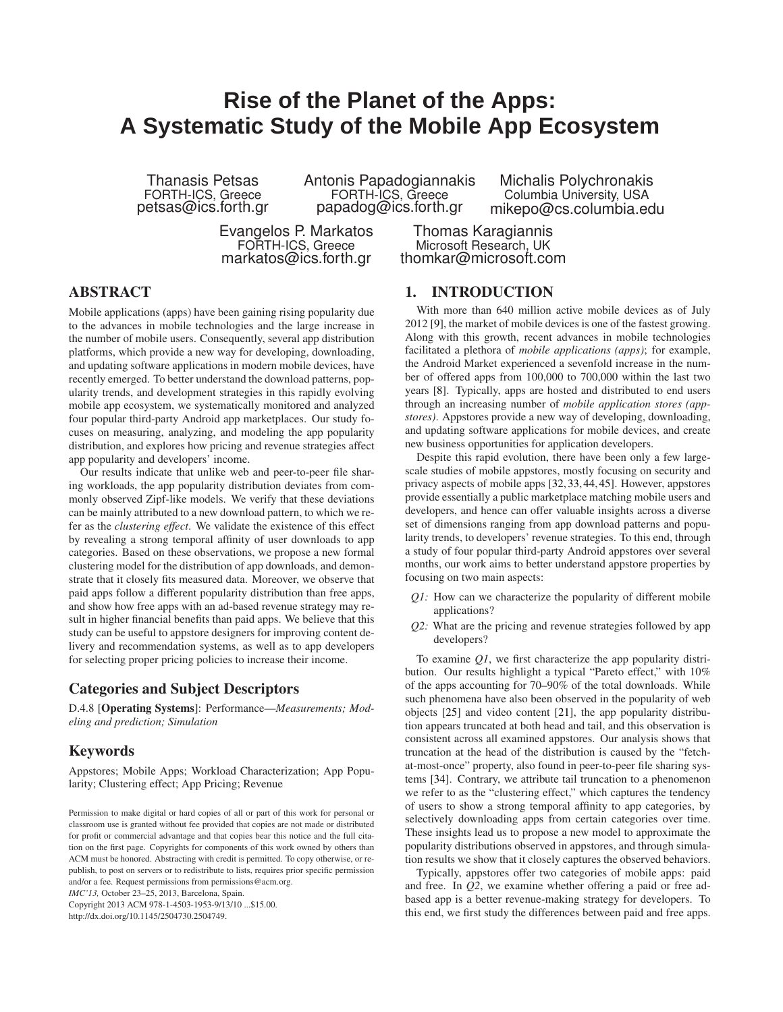# **Rise of the Planet of the Apps: A Systematic Study of the Mobile App Ecosystem**

Thanasis Petsas FORTH-ICS, Greece petsas@ics.forth.gr Antonis Papadogiannakis FORTH-ICS, Greece papadog@ics.forth.gr

Michalis Polychronakis Columbia University, USA mikepo@cs.columbia.edu

Evangelos P. Markatos FORTH-ICS, Greece markatos@ics.forth.gr

Thomas Karagiannis Microsoft Research, UK thomkar@microsoft.com

# **ABSTRACT**

Mobile applications (apps) have been gaining rising popularity due to the advances in mobile technologies and the large increase in the number of mobile users. Consequently, several app distribution platforms, which provide a new way for developing, downloading, and updating software applications in modern mobile devices, have recently emerged. To better understand the download patterns, popularity trends, and development strategies in this rapidly evolving mobile app ecosystem, we systematically monitored and analyzed four popular third-party Android app marketplaces. Our study focuses on measuring, analyzing, and modeling the app popularity distribution, and explores how pricing and revenue strategies affect app popularity and developers' income.

Our results indicate that unlike web and peer-to-peer file sharing workloads, the app popularity distribution deviates from commonly observed Zipf-like models. We verify that these deviations can be mainly attributed to a new download pattern, to which we refer as the *clustering effect*. We validate the existence of this effect by revealing a strong temporal affinity of user downloads to app categories. Based on these observations, we propose a new formal clustering model for the distribution of app downloads, and demonstrate that it closely fits measured data. Moreover, we observe that paid apps follow a different popularity distribution than free apps, and show how free apps with an ad-based revenue strategy may result in higher financial benefits than paid apps. We believe that this study can be useful to appstore designers for improving content delivery and recommendation systems, as well as to app developers for selecting proper pricing policies to increase their income.

# **Categories and Subject Descriptors**

D.4.8 [**Operating Systems**]: Performance—*Measurements; Modeling and prediction; Simulation*

# **Keywords**

Appstores; Mobile Apps; Workload Characterization; App Popularity; Clustering effect; App Pricing; Revenue

*IMC'13,* October 23–25, 2013, Barcelona, Spain.

Copyright 2013 ACM 978-1-4503-1953-9/13/10 ...\$15.00. http://dx.doi.org/10.1145/2504730.2504749.

## **1. INTRODUCTION**

With more than 640 million active mobile devices as of July 2012 [\[9\]](#page-13-0), the market of mobile devices is one of the fastest growing. Along with this growth, recent advances in mobile technologies facilitated a plethora of *mobile applications (apps)*; for example, the Android Market experienced a sevenfold increase in the number of offered apps from 100,000 to 700,000 within the last two years [\[8\]](#page-13-1). Typically, apps are hosted and distributed to end users through an increasing number of *mobile application stores (appstores)*. Appstores provide a new way of developing, downloading, and updating software applications for mobile devices, and create new business opportunities for application developers.

Despite this rapid evolution, there have been only a few largescale studies of mobile appstores, mostly focusing on security and privacy aspects of mobile apps [\[32,](#page-13-2)[33,](#page-13-3)[44,](#page-13-4)[45\]](#page-13-5). However, appstores provide essentially a public marketplace matching mobile users and developers, and hence can offer valuable insights across a diverse set of dimensions ranging from app download patterns and popularity trends, to developers' revenue strategies. To this end, through a study of four popular third-party Android appstores over several months, our work aims to better understand appstore properties by focusing on two main aspects:

- *Q1:* How can we characterize the popularity of different mobile applications?
- *Q2:* What are the pricing and revenue strategies followed by app developers?

To examine *Q1*, we first characterize the app popularity distribution. Our results highlight a typical "Pareto effect," with 10% of the apps accounting for 70–90% of the total downloads. While such phenomena have also been observed in the popularity of web objects [\[25\]](#page-13-6) and video content [\[21\]](#page-13-7), the app popularity distribution appears truncated at both head and tail, and this observation is consistent across all examined appstores. Our analysis shows that truncation at the head of the distribution is caused by the "fetchat-most-once" property, also found in peer-to-peer file sharing systems [\[34\]](#page-13-8). Contrary, we attribute tail truncation to a phenomenon we refer to as the "clustering effect," which captures the tendency of users to show a strong temporal affinity to app categories, by selectively downloading apps from certain categories over time. These insights lead us to propose a new model to approximate the popularity distributions observed in appstores, and through simulation results we show that it closely captures the observed behaviors.

Typically, appstores offer two categories of mobile apps: paid and free. In *Q2*, we examine whether offering a paid or free adbased app is a better revenue-making strategy for developers. To this end, we first study the differences between paid and free apps.

Permission to make digital or hard copies of all or part of this work for personal or classroom use is granted without fee provided that copies are not made or distributed for profit or commercial advantage and that copies bear this notice and the full citation on the first page. Copyrights for components of this work owned by others than ACM must be honored. Abstracting with credit is permitted. To copy otherwise, or republish, to post on servers or to redistribute to lists, requires prior specific permission and/or a fee. Request permissions from permissions@acm.org.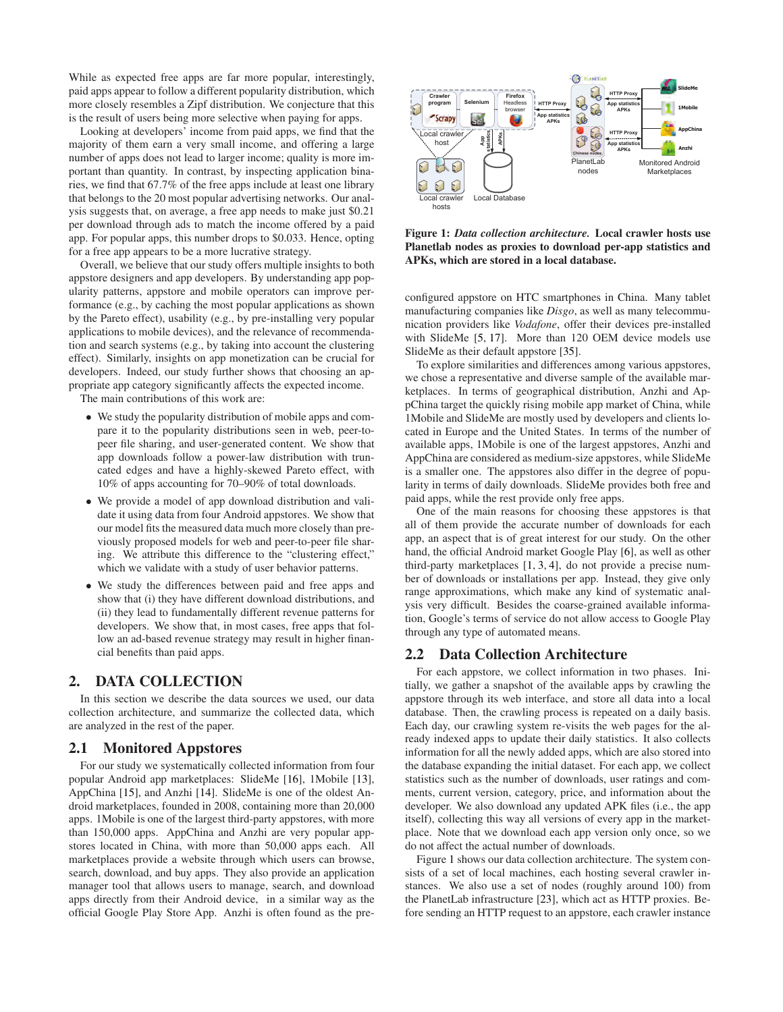While as expected free apps are far more popular, interestingly, paid apps appear to follow a different popularity distribution, which more closely resembles a Zipf distribution. We conjecture that this is the result of users being more selective when paying for apps.

Looking at developers' income from paid apps, we find that the majority of them earn a very small income, and offering a large number of apps does not lead to larger income; quality is more important than quantity. In contrast, by inspecting application binaries, we find that 67.7% of the free apps include at least one library that belongs to the 20 most popular advertising networks. Our analysis suggests that, on average, a free app needs to make just \$0.21 per download through ads to match the income offered by a paid app. For popular apps, this number drops to \$0.033. Hence, opting for a free app appears to be a more lucrative strategy.

Overall, we believe that our study offers multiple insights to both appstore designers and app developers. By understanding app popularity patterns, appstore and mobile operators can improve performance (e.g., by caching the most popular applications as shown by the Pareto effect), usability (e.g., by pre-installing very popular applications to mobile devices), and the relevance of recommendation and search systems (e.g., by taking into account the clustering effect). Similarly, insights on app monetization can be crucial for developers. Indeed, our study further shows that choosing an appropriate app category significantly affects the expected income.

The main contributions of this work are:

- We study the popularity distribution of mobile apps and compare it to the popularity distributions seen in web, peer-topeer file sharing, and user-generated content. We show that app downloads follow a power-law distribution with truncated edges and have a highly-skewed Pareto effect, with 10% of apps accounting for 70–90% of total downloads.
- We provide a model of app download distribution and validate it using data from four Android appstores. We show that our model fits the measured data much more closely than previously proposed models for web and peer-to-peer file sharing. We attribute this difference to the "clustering effect," which we validate with a study of user behavior patterns.
- We study the differences between paid and free apps and show that (i) they have different download distributions, and (ii) they lead to fundamentally different revenue patterns for developers. We show that, in most cases, free apps that follow an ad-based revenue strategy may result in higher financial benefits than paid apps.

## <span id="page-1-1"></span>**2. DATA COLLECTION**

In this section we describe the data sources we used, our data collection architecture, and summarize the collected data, which are analyzed in the rest of the paper.

#### **2.1 Monitored Appstores**

For our study we systematically collected information from four popular Android app marketplaces: SlideMe [\[16\]](#page-13-9), 1Mobile [\[13\]](#page-13-10), AppChina [\[15\]](#page-13-11), and Anzhi [\[14\]](#page-13-12). SlideMe is one of the oldest Android marketplaces, founded in 2008, containing more than 20,000 apps. 1Mobile is one of the largest third-party appstores, with more than 150,000 apps. AppChina and Anzhi are very popular appstores located in China, with more than 50,000 apps each. All marketplaces provide a website through which users can browse, search, download, and buy apps. They also provide an application manager tool that allows users to manage, search, and download apps directly from their Android device, in a similar way as the official Google Play Store App. Anzhi is often found as the pre-



<span id="page-1-0"></span>**Figure 1:** *Data collection architecture.* **Local crawler hosts use Planetlab nodes as proxies to download per-app statistics and APKs, which are stored in a local database.**

configured appstore on HTC smartphones in China. Many tablet manufacturing companies like *Disgo*, as well as many telecommunication providers like *Vodafone*, offer their devices pre-installed with SlideMe [\[5,](#page-13-13) [17\]](#page-13-14). More than 120 OEM device models use SlideMe as their default appstore [\[35\]](#page-13-15).

To explore similarities and differences among various appstores, we chose a representative and diverse sample of the available marketplaces. In terms of geographical distribution, Anzhi and AppChina target the quickly rising mobile app market of China, while 1Mobile and SlideMe are mostly used by developers and clients located in Europe and the United States. In terms of the number of available apps, 1Mobile is one of the largest appstores, Anzhi and AppChina are considered as medium-size appstores, while SlideMe is a smaller one. The appstores also differ in the degree of popularity in terms of daily downloads. SlideMe provides both free and paid apps, while the rest provide only free apps.

One of the main reasons for choosing these appstores is that all of them provide the accurate number of downloads for each app, an aspect that is of great interest for our study. On the other hand, the official Android market Google Play [\[6\]](#page-13-16), as well as other third-party marketplaces [\[1,](#page-13-17) [3,](#page-13-18) [4\]](#page-13-19), do not provide a precise number of downloads or installations per app. Instead, they give only range approximations, which make any kind of systematic analysis very difficult. Besides the coarse-grained available information, Google's terms of service do not allow access to Google Play through any type of automated means.

#### **2.2 Data Collection Architecture**

For each appstore, we collect information in two phases. Initially, we gather a snapshot of the available apps by crawling the appstore through its web interface, and store all data into a local database. Then, the crawling process is repeated on a daily basis. Each day, our crawling system re-visits the web pages for the already indexed apps to update their daily statistics. It also collects information for all the newly added apps, which are also stored into the database expanding the initial dataset. For each app, we collect statistics such as the number of downloads, user ratings and comments, current version, category, price, and information about the developer. We also download any updated APK files (i.e., the app itself), collecting this way all versions of every app in the marketplace. Note that we download each app version only once, so we do not affect the actual number of downloads.

Figure [1](#page-1-0) shows our data collection architecture. The system consists of a set of local machines, each hosting several crawler instances. We also use a set of nodes (roughly around 100) from the PlanetLab infrastructure [\[23\]](#page-13-20), which act as HTTP proxies. Before sending an HTTP request to an appstore, each crawler instance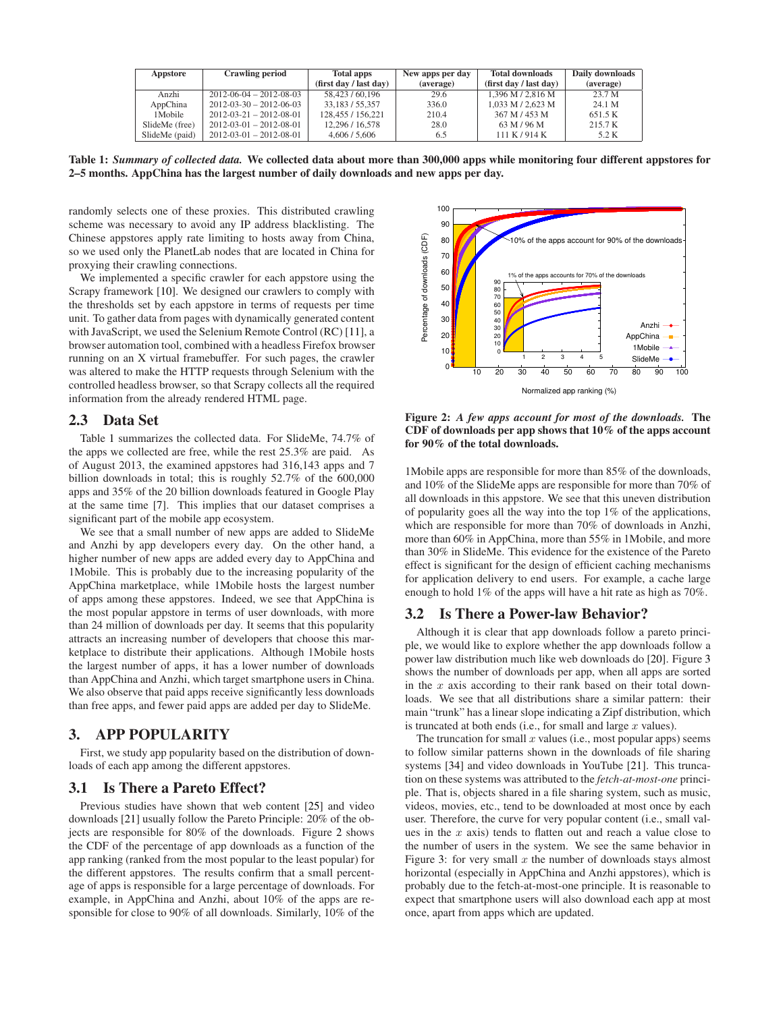| Appstore       | <b>Crawling period</b>            | Total apps                             | New apps per day | <b>Total downloads</b>                 | Daily downloads |
|----------------|-----------------------------------|----------------------------------------|------------------|----------------------------------------|-----------------|
|                |                                   | $(\text{first day} / \text{last day})$ | (average)        | $(\text{first day} / \text{last day})$ | (average)       |
| Anzhi          | $2012 - 06 - 04 - 2012 - 08 - 03$ | 58.423 / 60.196                        | 29.6             | 1.396 M / 2.816 M                      | 23.7 M          |
| AppChina       | $2012 - 03 - 30 - 2012 - 06 - 03$ | 33.183 / 55.357                        | 336.0            | 1.033 M / 2.623 M                      | 24.1 M          |
| 1 Mobile       | $2012 - 03 - 21 - 2012 - 08 - 01$ | 128.455 / 156.221                      | 210.4            | 367 M / 453 M                          | 651.5 K         |
| SlideMe (free) | $2012 - 03 - 01 - 2012 - 08 - 01$ | 12.296 / 16.578                        | 28.0             | 63 M / 96 M                            | 215.7 K         |
| SlideMe (paid) | $2012 - 03 - 01 - 2012 - 08 - 01$ | 4,606 / 5,606                          | 6.5              | 111 K / 914 K                          | 5.2 K           |

<span id="page-2-0"></span>**Table 1:** *Summary of collected data.* **We collected data about more than 300,000 apps while monitoring four different appstores for 2–5 months. AppChina has the largest number of daily downloads and new apps per day.**

randomly selects one of these proxies. This distributed crawling scheme was necessary to avoid any IP address blacklisting. The Chinese appstores apply rate limiting to hosts away from China, so we used only the PlanetLab nodes that are located in China for proxying their crawling connections.

We implemented a specific crawler for each appstore using the Scrapy framework [\[10\]](#page-13-21). We designed our crawlers to comply with the thresholds set by each appstore in terms of requests per time unit. To gather data from pages with dynamically generated content with JavaScript, we used the Selenium Remote Control (RC) [\[11\]](#page-13-22), a browser automation tool, combined with a headless Firefox browser running on an X virtual framebuffer. For such pages, the crawler was altered to make the HTTP requests through Selenium with the controlled headless browser, so that Scrapy collects all the required information from the already rendered HTML page.

#### **2.3 Data Set**

Table [1](#page-2-0) summarizes the collected data. For SlideMe, 74.7% of the apps we collected are free, while the rest 25.3% are paid. As of August 2013, the examined appstores had 316,143 apps and 7 billion downloads in total; this is roughly 52.7% of the 600,000 apps and 35% of the 20 billion downloads featured in Google Play at the same time [\[7\]](#page-13-23). This implies that our dataset comprises a significant part of the mobile app ecosystem.

We see that a small number of new apps are added to SlideMe and Anzhi by app developers every day. On the other hand, a higher number of new apps are added every day to AppChina and 1Mobile. This is probably due to the increasing popularity of the AppChina marketplace, while 1Mobile hosts the largest number of apps among these appstores. Indeed, we see that AppChina is the most popular appstore in terms of user downloads, with more than 24 million of downloads per day. It seems that this popularity attracts an increasing number of developers that choose this marketplace to distribute their applications. Although 1Mobile hosts the largest number of apps, it has a lower number of downloads than AppChina and Anzhi, which target smartphone users in China. We also observe that paid apps receive significantly less downloads than free apps, and fewer paid apps are added per day to SlideMe.

## **3. APP POPULARITY**

First, we study app popularity based on the distribution of downloads of each app among the different appstores.

## **3.1 Is There a Pareto Effect?**

Previous studies have shown that web content [\[25\]](#page-13-6) and video downloads [\[21\]](#page-13-7) usually follow the Pareto Principle: 20% of the objects are responsible for 80% of the downloads. Figure [2](#page-2-1) shows the CDF of the percentage of app downloads as a function of the app ranking (ranked from the most popular to the least popular) for the different appstores. The results confirm that a small percentage of apps is responsible for a large percentage of downloads. For example, in AppChina and Anzhi, about 10% of the apps are responsible for close to 90% of all downloads. Similarly, 10% of the



<span id="page-2-1"></span>**Figure 2:** *A few apps account for most of the downloads.* **The CDF of downloads per app shows that 10% of the apps account for 90% of the total downloads.**

1Mobile apps are responsible for more than 85% of the downloads, and 10% of the SlideMe apps are responsible for more than 70% of all downloads in this appstore. We see that this uneven distribution of popularity goes all the way into the top 1% of the applications, which are responsible for more than 70% of downloads in Anzhi, more than 60% in AppChina, more than 55% in 1Mobile, and more than 30% in SlideMe. This evidence for the existence of the Pareto effect is significant for the design of efficient caching mechanisms for application delivery to end users. For example, a cache large enough to hold 1% of the apps will have a hit rate as high as 70%.

## <span id="page-2-2"></span>**3.2 Is There a Power-law Behavior?**

Although it is clear that app downloads follow a pareto principle, we would like to explore whether the app downloads follow a power law distribution much like web downloads do [\[20\]](#page-13-24). Figure [3](#page-3-0) shows the number of downloads per app, when all apps are sorted in the  $x$  axis according to their rank based on their total downloads. We see that all distributions share a similar pattern: their main "trunk" has a linear slope indicating a Zipf distribution, which is truncated at both ends (i.e., for small and large  $x$  values).

The truncation for small  $x$  values (i.e., most popular apps) seems to follow similar patterns shown in the downloads of file sharing systems [\[34\]](#page-13-8) and video downloads in YouTube [\[21\]](#page-13-7). This truncation on these systems was attributed to the *fetch-at-most-one* principle. That is, objects shared in a file sharing system, such as music, videos, movies, etc., tend to be downloaded at most once by each user. Therefore, the curve for very popular content (i.e., small values in the  $x$  axis) tends to flatten out and reach a value close to the number of users in the system. We see the same behavior in Figure [3:](#page-3-0) for very small  $x$  the number of downloads stays almost horizontal (especially in AppChina and Anzhi appstores), which is probably due to the fetch-at-most-one principle. It is reasonable to expect that smartphone users will also download each app at most once, apart from apps which are updated.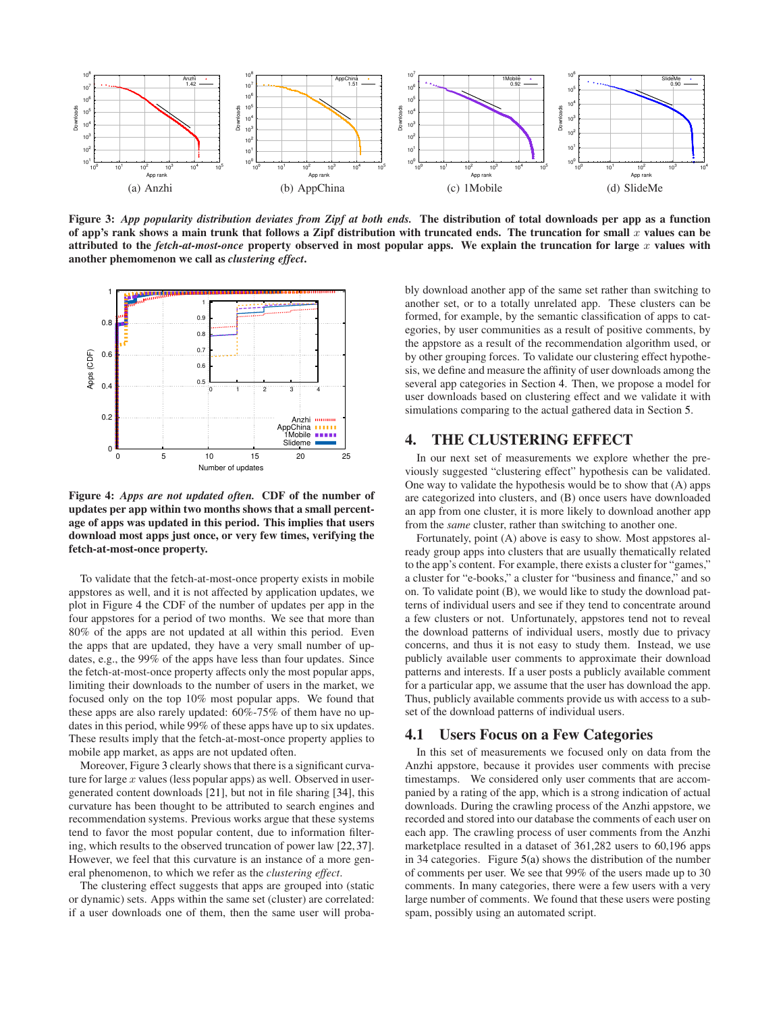

<span id="page-3-0"></span>**Figure 3:** *App popularity distribution deviates from Zipf at both ends.* **The distribution of total downloads per app as a function** of app's rank shows a main trunk that follows a Zipf distribution with truncated ends. The truncation for small x values can be **attributed to the** *fetch-at-most-once* **property observed in most popular apps. We explain the truncation for large** x **values with another phemomenon we call as** *clustering effect***.**



<span id="page-3-1"></span>**Figure 4:** *Apps are not updated often.* **CDF of the number of updates per app within two months shows that a small percentage of apps was updated in this period. This implies that users download most apps just once, or very few times, verifying the fetch-at-most-once property.**

To validate that the fetch-at-most-once property exists in mobile appstores as well, and it is not affected by application updates, we plot in Figure [4](#page-3-1) the CDF of the number of updates per app in the four appstores for a period of two months. We see that more than 80% of the apps are not updated at all within this period. Even the apps that are updated, they have a very small number of updates, e.g., the 99% of the apps have less than four updates. Since the fetch-at-most-once property affects only the most popular apps, limiting their downloads to the number of users in the market, we focused only on the top 10% most popular apps. We found that these apps are also rarely updated: 60%-75% of them have no updates in this period, while 99% of these apps have up to six updates. These results imply that the fetch-at-most-once property applies to mobile app market, as apps are not updated often.

Moreover, Figure [3](#page-3-0) clearly shows that there is a significant curvature for large  $x$  values (less popular apps) as well. Observed in usergenerated content downloads [\[21\]](#page-13-7), but not in file sharing [\[34\]](#page-13-8), this curvature has been thought to be attributed to search engines and recommendation systems. Previous works argue that these systems tend to favor the most popular content, due to information filtering, which results to the observed truncation of power law [\[22,](#page-13-25)[37\]](#page-13-26). However, we feel that this curvature is an instance of a more general phenomenon, to which we refer as the *clustering effect*.

The clustering effect suggests that apps are grouped into (static or dynamic) sets. Apps within the same set (cluster) are correlated: if a user downloads one of them, then the same user will probably download another app of the same set rather than switching to another set, or to a totally unrelated app. These clusters can be formed, for example, by the semantic classification of apps to categories, by user communities as a result of positive comments, by the appstore as a result of the recommendation algorithm used, or by other grouping forces. To validate our clustering effect hypothesis, we define and measure the affinity of user downloads among the several app categories in Section [4.](#page-3-2) Then, we propose a model for user downloads based on clustering effect and we validate it with simulations comparing to the actual gathered data in Section [5.](#page-5-0)

## <span id="page-3-2"></span>**4. THE CLUSTERING EFFECT**

In our next set of measurements we explore whether the previously suggested "clustering effect" hypothesis can be validated. One way to validate the hypothesis would be to show that (A) apps are categorized into clusters, and (B) once users have downloaded an app from one cluster, it is more likely to download another app from the *same* cluster, rather than switching to another one.

Fortunately, point (A) above is easy to show. Most appstores already group apps into clusters that are usually thematically related to the app's content. For example, there exists a cluster for "games," a cluster for "e-books," a cluster for "business and finance," and so on. To validate point (B), we would like to study the download patterns of individual users and see if they tend to concentrate around a few clusters or not. Unfortunately, appstores tend not to reveal the download patterns of individual users, mostly due to privacy concerns, and thus it is not easy to study them. Instead, we use publicly available user comments to approximate their download patterns and interests. If a user posts a publicly available comment for a particular app, we assume that the user has download the app. Thus, publicly available comments provide us with access to a subset of the download patterns of individual users.

#### **4.1 Users Focus on a Few Categories**

In this set of measurements we focused only on data from the Anzhi appstore, because it provides user comments with precise timestamps. We considered only user comments that are accompanied by a rating of the app, which is a strong indication of actual downloads. During the crawling process of the Anzhi appstore, we recorded and stored into our database the comments of each user on each app. The crawling process of user comments from the Anzhi marketplace resulted in a dataset of 361,282 users to 60,196 apps in 34 categories. Figure [5\(a\)](#page-4-0) shows the distribution of the number of comments per user. We see that 99% of the users made up to 30 comments. In many categories, there were a few users with a very large number of comments. We found that these users were posting spam, possibly using an automated script.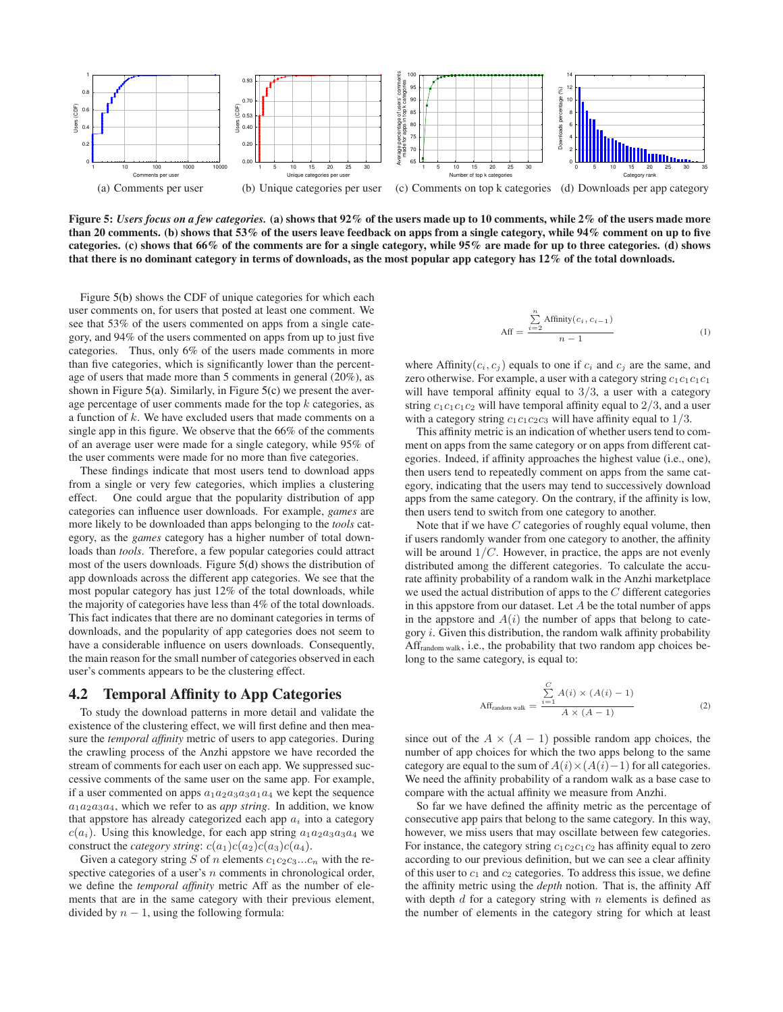<span id="page-4-1"></span><span id="page-4-0"></span>

**Figure 5:** *Users focus on a few categories.* **(a) shows that 92% of the users made up to 10 comments, while 2% of the users made more than 20 comments. (b) shows that 53% of the users leave feedback on apps from a single category, while 94% comment on up to five categories. (c) shows that 66% of the comments are for a single category, while 95% are made for up to three categories. (d) shows that there is no dominant category in terms of downloads, as the most popular app category has 12% of the total downloads.**

Figure [5\(b\)](#page-4-1) shows the CDF of unique categories for which each user comments on, for users that posted at least one comment. We see that 53% of the users commented on apps from a single category, and 94% of the users commented on apps from up to just five categories. Thus, only 6% of the users made comments in more than five categories, which is significantly lower than the percentage of users that made more than 5 comments in general (20%), as shown in Figure [5\(a\).](#page-4-0) Similarly, in Figure [5\(c\)](#page-4-2) we present the average percentage of user comments made for the top  $k$  categories, as a function of k. We have excluded users that made comments on a single app in this figure. We observe that the 66% of the comments of an average user were made for a single category, while 95% of the user comments were made for no more than five categories.

These findings indicate that most users tend to download apps from a single or very few categories, which implies a clustering effect. One could argue that the popularity distribution of app categories can influence user downloads. For example, *games* are more likely to be downloaded than apps belonging to the *tools* category, as the *games* category has a higher number of total downloads than *tools*. Therefore, a few popular categories could attract most of the users downloads. Figure [5\(d\)](#page-4-3) shows the distribution of app downloads across the different app categories. We see that the most popular category has just 12% of the total downloads, while the majority of categories have less than 4% of the total downloads. This fact indicates that there are no dominant categories in terms of downloads, and the popularity of app categories does not seem to have a considerable influence on users downloads. Consequently, the main reason for the small number of categories observed in each user's comments appears to be the clustering effect.

# **4.2 Temporal Affinity to App Categories**

To study the download patterns in more detail and validate the existence of the clustering effect, we will first define and then measure the *temporal affinity* metric of users to app categories. During the crawling process of the Anzhi appstore we have recorded the stream of comments for each user on each app. We suppressed successive comments of the same user on the same app. For example, if a user commented on apps  $a_1a_2a_3a_3a_1a_4$  we kept the sequence  $a_1a_2a_3a_4$ , which we refer to as *app string*. In addition, we know that appstore has already categorized each app  $a_i$  into a category  $c(a_i)$ . Using this knowledge, for each app string  $a_1a_2a_3a_3a_4$  we construct the *category string*:  $c(a_1)c(a_2)c(a_3)c(a_4)$ .

Given a category string S of n elements  $c_1c_2c_3...c_n$  with the respective categories of a user's *n* comments in chronological order, we define the *temporal affinity* metric Aff as the number of elements that are in the same category with their previous element, divided by  $n - 1$ , using the following formula:

<span id="page-4-3"></span><span id="page-4-2"></span>
$$
Aff = \frac{\sum_{i=2}^{n} Affinity(c_i, c_{i-1})}{n-1}
$$
 (1)

where Affinity( $c_i, c_j$ ) equals to one if  $c_i$  and  $c_j$  are the same, and zero otherwise. For example, a user with a category string  $c_1c_1c_1c_1$ will have temporal affinity equal to  $3/3$ , a user with a category string  $c_1c_1c_2$  will have temporal affinity equal to  $2/3$ , and a user with a category string  $c_1c_1c_2c_3$  will have affinity equal to  $1/3$ .

This affinity metric is an indication of whether users tend to comment on apps from the same category or on apps from different categories. Indeed, if affinity approaches the highest value (i.e., one), then users tend to repeatedly comment on apps from the same category, indicating that the users may tend to successively download apps from the same category. On the contrary, if the affinity is low, then users tend to switch from one category to another.

Note that if we have  $C$  categories of roughly equal volume, then if users randomly wander from one category to another, the affinity will be around  $1/C$ . However, in practice, the apps are not evenly distributed among the different categories. To calculate the accurate affinity probability of a random walk in the Anzhi marketplace we used the actual distribution of apps to the C different categories in this appstore from our dataset. Let  $A$  be the total number of apps in the appstore and  $A(i)$  the number of apps that belong to category  $i$ . Given this distribution, the random walk affinity probability Affrandom walk, i.e., the probability that two random app choices belong to the same category, is equal to:

<span id="page-4-4"></span>Aff<sub>random walk</sub> = 
$$
\frac{\sum_{i=1}^{C} A(i) \times (A(i) - 1)}{A \times (A - 1)}
$$
(2)

since out of the  $A \times (A - 1)$  possible random app choices, the number of app choices for which the two apps belong to the same category are equal to the sum of  $A(i) \times (A(i)-1)$  for all categories. We need the affinity probability of a random walk as a base case to compare with the actual affinity we measure from Anzhi.

So far we have defined the affinity metric as the percentage of consecutive app pairs that belong to the same category. In this way, however, we miss users that may oscillate between few categories. For instance, the category string  $c_1c_2c_1c_2$  has affinity equal to zero according to our previous definition, but we can see a clear affinity of this user to  $c_1$  and  $c_2$  categories. To address this issue, we define the affinity metric using the *depth* notion. That is, the affinity Aff with depth  $d$  for a category string with  $n$  elements is defined as the number of elements in the category string for which at least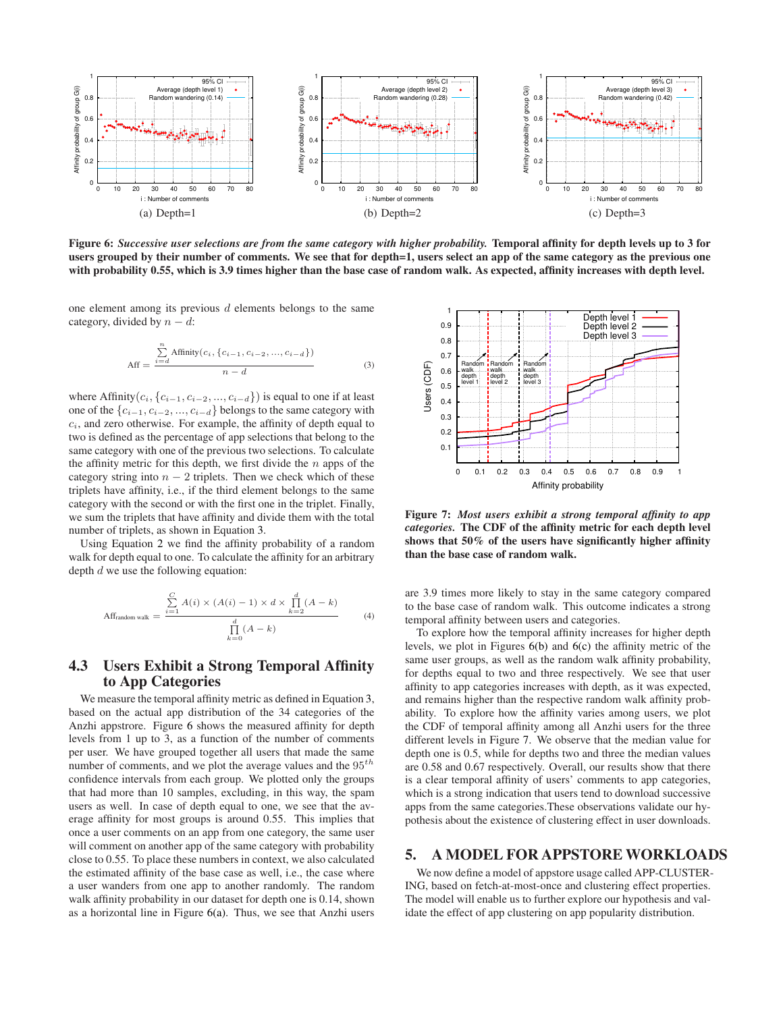<span id="page-5-4"></span><span id="page-5-3"></span>

<span id="page-5-2"></span>**Figure 6:** *Successive user selections are from the same category with higher probability.* **Temporal affinity for depth levels up to 3 for users grouped by their number of comments. We see that for depth=1, users select an app of the same category as the previous one with probability 0.55, which is 3.9 times higher than the base case of random walk. As expected, affinity increases with depth level.**

one element among its previous  $d$  elements belongs to the same category, divided by  $n - d$ :

<span id="page-5-1"></span>Aff = 
$$
\frac{\sum_{i=d}^{n} \text{Affinity}(c_i, \{c_{i-1}, c_{i-2}, ..., c_{i-d}\})}{n - d}
$$
 (3)

where Affinity( $c_i$ ,  $\{c_{i-1}, c_{i-2}, ..., c_{i-d}\}$ ) is equal to one if at least one of the  $\{c_{i-1}, c_{i-2}, ..., c_{i-d}\}$  belongs to the same category with  $c_i$ , and zero otherwise. For example, the affinity of depth equal to two is defined as the percentage of app selections that belong to the same category with one of the previous two selections. To calculate the affinity metric for this depth, we first divide the  $n$  apps of the category string into  $n - 2$  triplets. Then we check which of these triplets have affinity, i.e., if the third element belongs to the same category with the second or with the first one in the triplet. Finally, we sum the triplets that have affinity and divide them with the total number of triplets, as shown in Equation [3.](#page-5-1)

Using Equation [2](#page-4-4) we find the affinity probability of a random walk for depth equal to one. To calculate the affinity for an arbitrary depth d we use the following equation:

Aff<sub>random walk</sub> = 
$$
\frac{\sum_{i=1}^{C} A(i) \times (A(i) - 1) \times d \times \prod_{k=2}^{d} (A - k)}{\prod_{k=0}^{d} (A - k)}
$$
(4)

# **4.3 Users Exhibit a Strong Temporal Affinity to App Categories**

We measure the temporal affinity metric as defined in Equation [3,](#page-5-1) based on the actual app distribution of the 34 categories of the Anzhi appstrore. Figure [6](#page-5-2) shows the measured affinity for depth levels from 1 up to 3, as a function of the number of comments per user. We have grouped together all users that made the same number of comments, and we plot the average values and the  $95<sup>th</sup>$ confidence intervals from each group. We plotted only the groups that had more than 10 samples, excluding, in this way, the spam users as well. In case of depth equal to one, we see that the average affinity for most groups is around 0.55. This implies that once a user comments on an app from one category, the same user will comment on another app of the same category with probability close to 0.55. To place these numbers in context, we also calculated the estimated affinity of the base case as well, i.e., the case where a user wanders from one app to another randomly. The random walk affinity probability in our dataset for depth one is 0.14, shown as a horizontal line in Figure [6\(a\).](#page-5-3) Thus, we see that Anzhi users

<span id="page-5-5"></span>

<span id="page-5-6"></span>**Figure 7:** *Most users exhibit a strong temporal affinity to app categories.* **The CDF of the affinity metric for each depth level shows that 50% of the users have significantly higher affinity than the base case of random walk.**

are 3.9 times more likely to stay in the same category compared to the base case of random walk. This outcome indicates a strong temporal affinity between users and categories.

To explore how the temporal affinity increases for higher depth levels, we plot in Figures [6\(b\)](#page-5-4) and [6\(c\)](#page-5-5) the affinity metric of the same user groups, as well as the random walk affinity probability, for depths equal to two and three respectively. We see that user affinity to app categories increases with depth, as it was expected, and remains higher than the respective random walk affinity probability. To explore how the affinity varies among users, we plot the CDF of temporal affinity among all Anzhi users for the three different levels in Figure [7.](#page-5-6) We observe that the median value for depth one is 0.5, while for depths two and three the median values are 0.58 and 0.67 respectively. Overall, our results show that there is a clear temporal affinity of users' comments to app categories, which is a strong indication that users tend to download successive apps from the same categories.These observations validate our hypothesis about the existence of clustering effect in user downloads.

## <span id="page-5-0"></span>**5. A MODEL FOR APPSTORE WORKLOADS**

We now define a model of appstore usage called APP-CLUSTER-ING, based on fetch-at-most-once and clustering effect properties. The model will enable us to further explore our hypothesis and validate the effect of app clustering on app popularity distribution.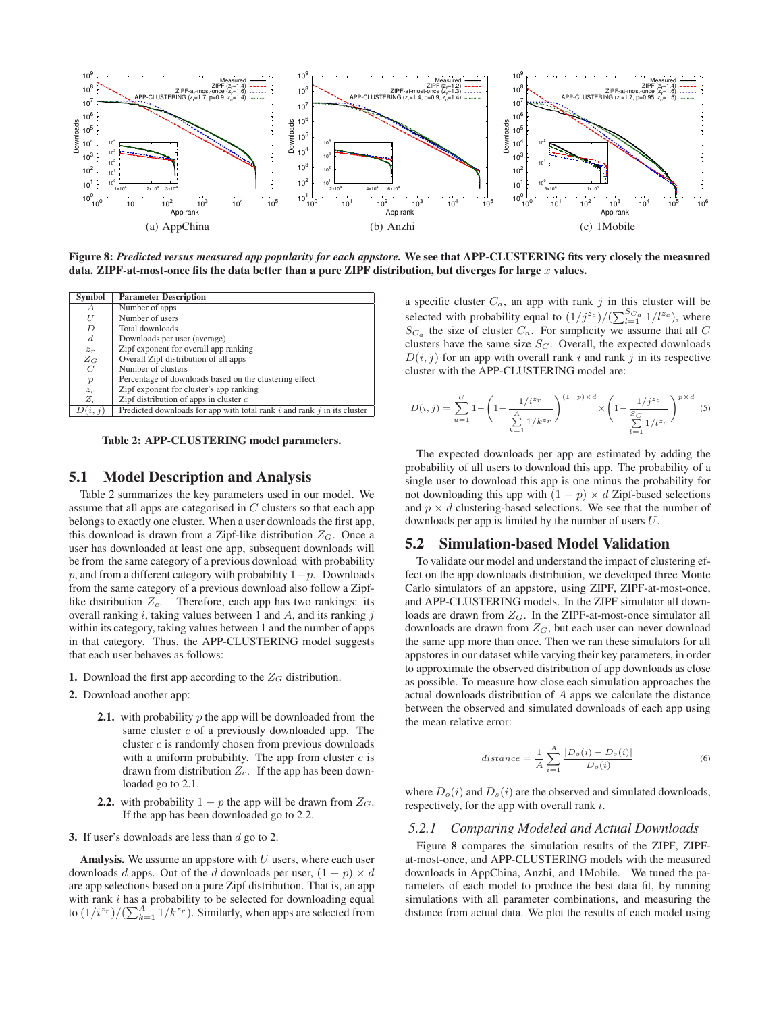

<span id="page-6-1"></span>**Figure 8:** *Predicted versus measured app popularity for each appstore.* **We see that APP-CLUSTERING fits very closely the measured data. ZIPF-at-most-once fits the data better than a pure ZIPF distribution, but diverges for large** x **values.**

| Symbol           | <b>Parameter Description</b>                                                |  |  |
|------------------|-----------------------------------------------------------------------------|--|--|
| A                | Number of apps                                                              |  |  |
| U                | Number of users                                                             |  |  |
| D                | Total downloads                                                             |  |  |
| $\boldsymbol{d}$ | Downloads per user (average)                                                |  |  |
| $z_r$            | Zipf exponent for overall app ranking                                       |  |  |
| $Z_G$            | Overall Zipf distribution of all apps                                       |  |  |
| $\overline{C}$   | Number of clusters                                                          |  |  |
| $\boldsymbol{p}$ | Percentage of downloads based on the clustering effect                      |  |  |
| $z_c$            | Zipf exponent for cluster's app ranking                                     |  |  |
| $Z_c$            | Zipf distribution of apps in cluster $c$                                    |  |  |
|                  | Predicted downloads for app with total rank $i$ and rank $j$ in its cluster |  |  |

<span id="page-6-0"></span>**Table 2: APP-CLUSTERING model parameters.**

# **5.1 Model Description and Analysis**

Table [2](#page-6-0) summarizes the key parameters used in our model. We assume that all apps are categorised in C clusters so that each app belongs to exactly one cluster. When a user downloads the first app, this download is drawn from a Zipf-like distribution  $Z_G$ . Once a user has downloaded at least one app, subsequent downloads will be from the same category of a previous download with probability p, and from a different category with probability  $1-p$ . Downloads from the same category of a previous download also follow a Zipflike distribution  $Z_c$ . Therefore, each app has two rankings: its overall ranking  $i$ , taking values between 1 and  $A$ , and its ranking  $j$ within its category, taking values between 1 and the number of apps in that category. Thus, the APP-CLUSTERING model suggests that each user behaves as follows:

- **1.** Download the first app according to the  $Z_G$  distribution.
- **2.** Download another app:
	- **2.1.** with probability p the app will be downloaded from the same cluster  $c$  of a previously downloaded app. The cluster  $c$  is randomly chosen from previous downloads with a uniform probability. The app from cluster  $c$  is drawn from distribution  $Z_c$ . If the app has been downloaded go to 2.1.
	- **2.2.** with probability  $1 p$  the app will be drawn from  $Z_G$ . If the app has been downloaded go to 2.2.
- **3.** If user's downloads are less than d go to 2.

**Analysis.** We assume an appstore with  $U$  users, where each user downloads d apps. Out of the d downloads per user,  $(1 - p) \times d$ are app selections based on a pure Zipf distribution. That is, an app with rank  $i$  has a probability to be selected for downloading equal to  $\left(\frac{1}{i^{z_r}}\right)/\left(\sum_{k=1}^A 1/k^{z_r}\right)$ . Similarly, when apps are selected from

a specific cluster  $C_a$ , an app with rank j in this cluster will be selected with probability equal to  $\frac{1}{j^{z_c}}\frac{1}{\sum_{l=1}^{S_{Ca}} 1/l^{z_c}}$ , where  $S_{C_a}$  the size of cluster  $C_a$ . For simplicity we assume that all C clusters have the same size  $S_C$ . Overall, the expected downloads  $D(i, j)$  for an app with overall rank i and rank j in its respective cluster with the APP-CLUSTERING model are:

$$
D(i,j) = \sum_{u=1}^{U} 1 - \left(1 - \frac{1/i^{z_r}}{\sum_{k=1}^{A} 1/k^{z_r}}\right)^{(1-p)\times d} \times \left(1 - \frac{1/j^{z_c}}{\sum_{l=1}^{S_C} 1/l^{z_c}}\right)^{p\times d}
$$
 (5)

The expected downloads per app are estimated by adding the probability of all users to download this app. The probability of a single user to download this app is one minus the probability for not downloading this app with  $(1 - p) \times d$  Zipf-based selections and  $p \times d$  clustering-based selections. We see that the number of downloads per app is limited by the number of users U.

#### **5.2 Simulation-based Model Validation**

To validate our model and understand the impact of clustering effect on the app downloads distribution, we developed three Monte Carlo simulators of an appstore, using ZIPF, ZIPF-at-most-once, and APP-CLUSTERING models. In the ZIPF simulator all downloads are drawn from  $Z_G$ . In the ZIPF-at-most-once simulator all downloads are drawn from  $Z_G$ , but each user can never download the same app more than once. Then we ran these simulators for all appstores in our dataset while varying their key parameters, in order to approximate the observed distribution of app downloads as close as possible. To measure how close each simulation approaches the actual downloads distribution of A apps we calculate the distance between the observed and simulated downloads of each app using the mean relative error:

$$
distance = \frac{1}{A} \sum_{i=1}^{A} \frac{|D_o(i) - D_s(i)|}{D_o(i)}
$$
(6)

where  $D<sub>o</sub>(i)$  and  $D<sub>s</sub>(i)$  are the observed and simulated downloads, respectively, for the app with overall rank i.

#### *5.2.1 Comparing Modeled and Actual Downloads*

Figure [8](#page-6-1) compares the simulation results of the ZIPF, ZIPFat-most-once, and APP-CLUSTERING models with the measured downloads in AppChina, Anzhi, and 1Mobile. We tuned the parameters of each model to produce the best data fit, by running simulations with all parameter combinations, and measuring the distance from actual data. We plot the results of each model using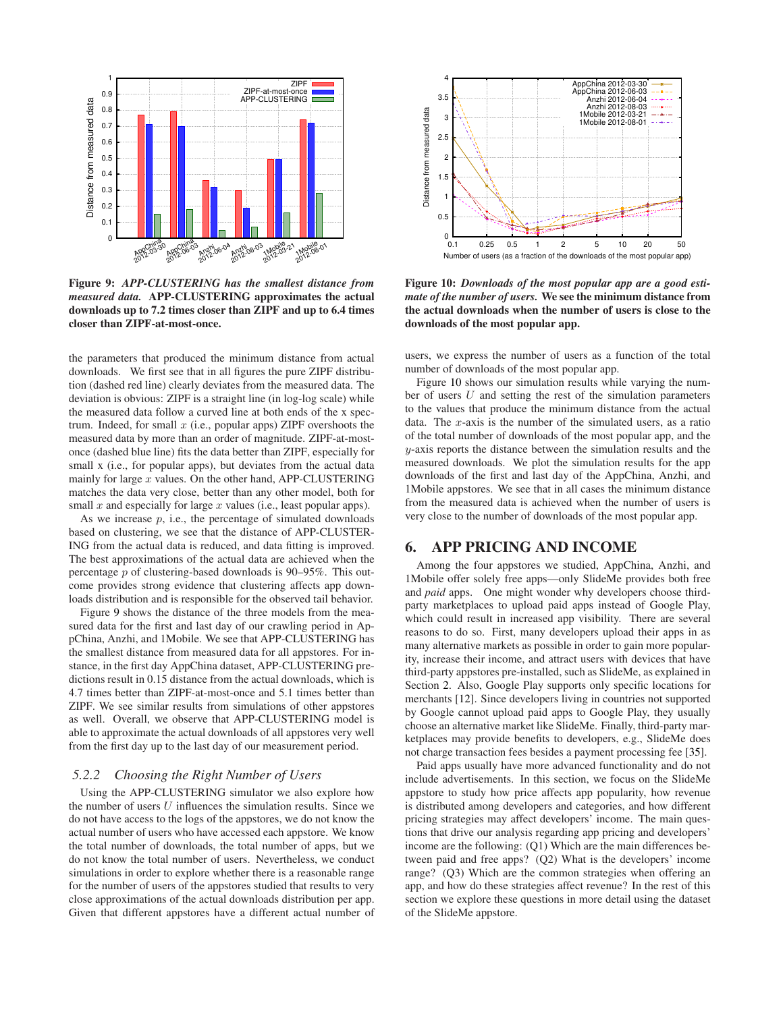

<span id="page-7-0"></span>**Figure 9:** *APP-CLUSTERING has the smallest distance from measured data.* **APP-CLUSTERING approximates the actual downloads up to 7.2 times closer than ZIPF and up to 6.4 times closer than ZIPF-at-most-once.**

the parameters that produced the minimum distance from actual downloads. We first see that in all figures the pure ZIPF distribution (dashed red line) clearly deviates from the measured data. The deviation is obvious: ZIPF is a straight line (in log-log scale) while the measured data follow a curved line at both ends of the x spectrum. Indeed, for small  $x$  (i.e., popular apps) ZIPF overshoots the measured data by more than an order of magnitude. ZIPF-at-mostonce (dashed blue line) fits the data better than ZIPF, especially for small x (i.e., for popular apps), but deviates from the actual data mainly for large  $x$  values. On the other hand, APP-CLUSTERING matches the data very close, better than any other model, both for small  $x$  and especially for large  $x$  values (i.e., least popular apps).

As we increase  $p$ , i.e., the percentage of simulated downloads based on clustering, we see that the distance of APP-CLUSTER-ING from the actual data is reduced, and data fitting is improved. The best approximations of the actual data are achieved when the percentage p of clustering-based downloads is 90–95%. This outcome provides strong evidence that clustering affects app downloads distribution and is responsible for the observed tail behavior.

Figure [9](#page-7-0) shows the distance of the three models from the measured data for the first and last day of our crawling period in AppChina, Anzhi, and 1Mobile. We see that APP-CLUSTERING has the smallest distance from measured data for all appstores. For instance, in the first day AppChina dataset, APP-CLUSTERING predictions result in 0.15 distance from the actual downloads, which is 4.7 times better than ZIPF-at-most-once and 5.1 times better than ZIPF. We see similar results from simulations of other appstores as well. Overall, we observe that APP-CLUSTERING model is able to approximate the actual downloads of all appstores very well from the first day up to the last day of our measurement period.

#### *5.2.2 Choosing the Right Number of Users*

Using the APP-CLUSTERING simulator we also explore how the number of users  $U$  influences the simulation results. Since we do not have access to the logs of the appstores, we do not know the actual number of users who have accessed each appstore. We know the total number of downloads, the total number of apps, but we do not know the total number of users. Nevertheless, we conduct simulations in order to explore whether there is a reasonable range for the number of users of the appstores studied that results to very close approximations of the actual downloads distribution per app. Given that different appstores have a different actual number of



<span id="page-7-1"></span>**Figure 10:** *Downloads of the most popular app are a good estimate of the number of users.* **We see the minimum distance from the actual downloads when the number of users is close to the downloads of the most popular app.**

users, we express the number of users as a function of the total number of downloads of the most popular app.

Figure [10](#page-7-1) shows our simulation results while varying the number of users  $U$  and setting the rest of the simulation parameters to the values that produce the minimum distance from the actual data. The  $x$ -axis is the number of the simulated users, as a ratio of the total number of downloads of the most popular app, and the y-axis reports the distance between the simulation results and the measured downloads. We plot the simulation results for the app downloads of the first and last day of the AppChina, Anzhi, and 1Mobile appstores. We see that in all cases the minimum distance from the measured data is achieved when the number of users is very close to the number of downloads of the most popular app.

# **6. APP PRICING AND INCOME**

Among the four appstores we studied, AppChina, Anzhi, and 1Mobile offer solely free apps—only SlideMe provides both free and *paid* apps. One might wonder why developers choose thirdparty marketplaces to upload paid apps instead of Google Play, which could result in increased app visibility. There are several reasons to do so. First, many developers upload their apps in as many alternative markets as possible in order to gain more popularity, increase their income, and attract users with devices that have third-party appstores pre-installed, such as SlideMe, as explained in Section [2.](#page-1-1) Also, Google Play supports only specific locations for merchants [\[12\]](#page-13-27). Since developers living in countries not supported by Google cannot upload paid apps to Google Play, they usually choose an alternative market like SlideMe. Finally, third-party marketplaces may provide benefits to developers, e.g., SlideMe does not charge transaction fees besides a payment processing fee [\[35\]](#page-13-15).

Paid apps usually have more advanced functionality and do not include advertisements. In this section, we focus on the SlideMe appstore to study how price affects app popularity, how revenue is distributed among developers and categories, and how different pricing strategies may affect developers' income. The main questions that drive our analysis regarding app pricing and developers' income are the following: (Q1) Which are the main differences between paid and free apps? (Q2) What is the developers' income range? (Q3) Which are the common strategies when offering an app, and how do these strategies affect revenue? In the rest of this section we explore these questions in more detail using the dataset of the SlideMe appstore.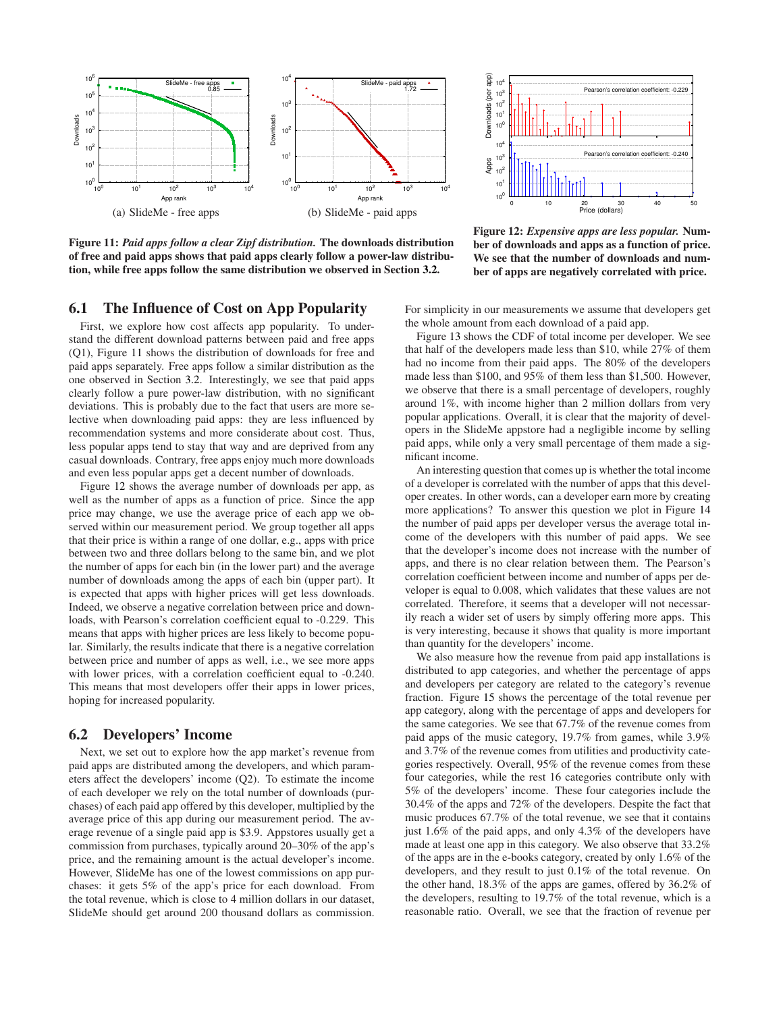

<span id="page-8-0"></span>**Figure 11:** *Paid apps follow a clear Zipf distribution.* **The downloads distribution of free and paid apps shows that paid apps clearly follow a power-law distribution, while free apps follow the same distribution we observed in Section [3.2.](#page-2-2)**

## **6.1 The Influence of Cost on App Popularity**

First, we explore how cost affects app popularity. To understand the different download patterns between paid and free apps (Q1), Figure [11](#page-8-0) shows the distribution of downloads for free and paid apps separately. Free apps follow a similar distribution as the one observed in Section [3.2.](#page-2-2) Interestingly, we see that paid apps clearly follow a pure power-law distribution, with no significant deviations. This is probably due to the fact that users are more selective when downloading paid apps: they are less influenced by recommendation systems and more considerate about cost. Thus, less popular apps tend to stay that way and are deprived from any casual downloads. Contrary, free apps enjoy much more downloads and even less popular apps get a decent number of downloads.

Figure [12](#page-8-1) shows the average number of downloads per app, as well as the number of apps as a function of price. Since the app price may change, we use the average price of each app we observed within our measurement period. We group together all apps that their price is within a range of one dollar, e.g., apps with price between two and three dollars belong to the same bin, and we plot the number of apps for each bin (in the lower part) and the average number of downloads among the apps of each bin (upper part). It is expected that apps with higher prices will get less downloads. Indeed, we observe a negative correlation between price and downloads, with Pearson's correlation coefficient equal to -0.229. This means that apps with higher prices are less likely to become popular. Similarly, the results indicate that there is a negative correlation between price and number of apps as well, i.e., we see more apps with lower prices, with a correlation coefficient equal to -0.240. This means that most developers offer their apps in lower prices, hoping for increased popularity.

#### <span id="page-8-2"></span>**6.2 Developers' Income**

Next, we set out to explore how the app market's revenue from paid apps are distributed among the developers, and which parameters affect the developers' income (Q2). To estimate the income of each developer we rely on the total number of downloads (purchases) of each paid app offered by this developer, multiplied by the average price of this app during our measurement period. The average revenue of a single paid app is \$3.9. Appstores usually get a commission from purchases, typically around 20–30% of the app's price, and the remaining amount is the actual developer's income. However, SlideMe has one of the lowest commissions on app purchases: it gets 5% of the app's price for each download. From the total revenue, which is close to 4 million dollars in our dataset, SlideMe should get around 200 thousand dollars as commission.



<span id="page-8-1"></span>**Figure 12:** *Expensive apps are less popular.* **Number of downloads and apps as a function of price. We see that the number of downloads and number of apps are negatively correlated with price.**

For simplicity in our measurements we assume that developers get the whole amount from each download of a paid app.

Figure [13](#page-9-0) shows the CDF of total income per developer. We see that half of the developers made less than \$10, while 27% of them had no income from their paid apps. The 80% of the developers made less than \$100, and 95% of them less than \$1,500. However, we observe that there is a small percentage of developers, roughly around 1%, with income higher than 2 million dollars from very popular applications. Overall, it is clear that the majority of developers in the SlideMe appstore had a negligible income by selling paid apps, while only a very small percentage of them made a significant income.

An interesting question that comes up is whether the total income of a developer is correlated with the number of apps that this developer creates. In other words, can a developer earn more by creating more applications? To answer this question we plot in Figure [14](#page-9-1) the number of paid apps per developer versus the average total income of the developers with this number of paid apps. We see that the developer's income does not increase with the number of apps, and there is no clear relation between them. The Pearson's correlation coefficient between income and number of apps per developer is equal to 0.008, which validates that these values are not correlated. Therefore, it seems that a developer will not necessarily reach a wider set of users by simply offering more apps. This is very interesting, because it shows that quality is more important than quantity for the developers' income.

We also measure how the revenue from paid app installations is distributed to app categories, and whether the percentage of apps and developers per category are related to the category's revenue fraction. Figure [15](#page-9-2) shows the percentage of the total revenue per app category, along with the percentage of apps and developers for the same categories. We see that 67.7% of the revenue comes from paid apps of the music category, 19.7% from games, while 3.9% and 3.7% of the revenue comes from utilities and productivity categories respectively. Overall, 95% of the revenue comes from these four categories, while the rest 16 categories contribute only with 5% of the developers' income. These four categories include the 30.4% of the apps and 72% of the developers. Despite the fact that music produces 67.7% of the total revenue, we see that it contains just 1.6% of the paid apps, and only 4.3% of the developers have made at least one app in this category. We also observe that 33.2% of the apps are in the e-books category, created by only 1.6% of the developers, and they result to just 0.1% of the total revenue. On the other hand, 18.3% of the apps are games, offered by 36.2% of the developers, resulting to 19.7% of the total revenue, which is a reasonable ratio. Overall, we see that the fraction of revenue per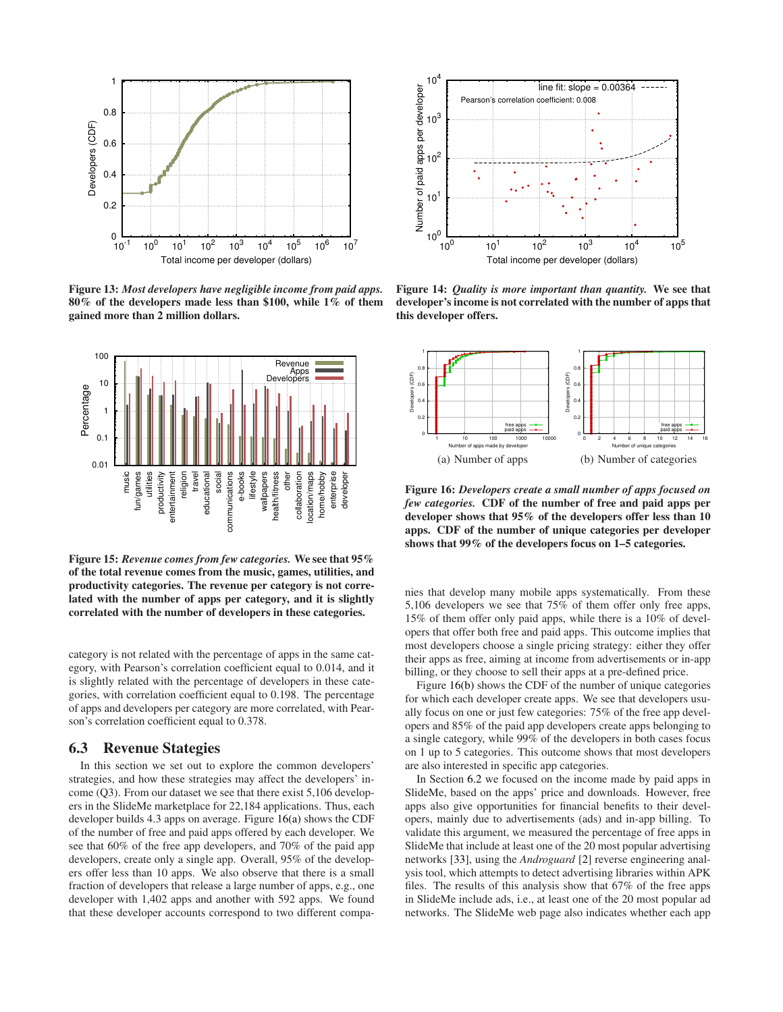

<span id="page-9-0"></span>**Figure 13:** *Most developers have negligible income from paid apps.* **80% of the developers made less than \$100, while 1% of them gained more than 2 million dollars.**



<span id="page-9-2"></span>**Figure 15:** *Revenue comes from few categories.* **We see that 95% of the total revenue comes from the music, games, utilities, and productivity categories. The revenue per category is not correlated with the number of apps per category, and it is slightly correlated with the number of developers in these categories.**

category is not related with the percentage of apps in the same category, with Pearson's correlation coefficient equal to 0.014, and it is slightly related with the percentage of developers in these categories, with correlation coefficient equal to 0.198. The percentage of apps and developers per category are more correlated, with Pearson's correlation coefficient equal to 0.378.

#### **6.3 Revenue Stategies**

In this section we set out to explore the common developers' strategies, and how these strategies may affect the developers' income (Q3). From our dataset we see that there exist 5,106 developers in the SlideMe marketplace for 22,184 applications. Thus, each developer builds 4.3 apps on average. Figure [16\(a\)](#page-9-3) shows the CDF of the number of free and paid apps offered by each developer. We see that 60% of the free app developers, and 70% of the paid app developers, create only a single app. Overall, 95% of the developers offer less than 10 apps. We also observe that there is a small fraction of developers that release a large number of apps, e.g., one developer with 1,402 apps and another with 592 apps. We found that these developer accounts correspond to two different compa-



<span id="page-9-1"></span>**Figure 14:** *Quality is more important than quantity.* **We see that developer's income is not correlated with the number of apps that this developer offers.**

<span id="page-9-4"></span><span id="page-9-3"></span>

**Figure 16:** *Developers create a small number of apps focused on few categories.* **CDF of the number of free and paid apps per developer shows that 95% of the developers offer less than 10 apps. CDF of the number of unique categories per developer shows that 99% of the developers focus on 1–5 categories.**

nies that develop many mobile apps systematically. From these 5,106 developers we see that 75% of them offer only free apps, 15% of them offer only paid apps, while there is a 10% of developers that offer both free and paid apps. This outcome implies that most developers choose a single pricing strategy: either they offer their apps as free, aiming at income from advertisements or in-app billing, or they choose to sell their apps at a pre-defined price.

Figure [16\(b\)](#page-9-4) shows the CDF of the number of unique categories for which each developer create apps. We see that developers usually focus on one or just few categories: 75% of the free app developers and 85% of the paid app developers create apps belonging to a single category, while 99% of the developers in both cases focus on 1 up to 5 categories. This outcome shows that most developers are also interested in specific app categories.

In Section [6.2](#page-8-2) we focused on the income made by paid apps in SlideMe, based on the apps' price and downloads. However, free apps also give opportunities for financial benefits to their developers, mainly due to advertisements (ads) and in-app billing. To validate this argument, we measured the percentage of free apps in SlideMe that include at least one of the 20 most popular advertising networks [\[33\]](#page-13-3), using the *Androguard* [\[2\]](#page-13-28) reverse engineering analysis tool, which attempts to detect advertising libraries within APK files. The results of this analysis show that 67% of the free apps in SlideMe include ads, i.e., at least one of the 20 most popular ad networks. The SlideMe web page also indicates whether each app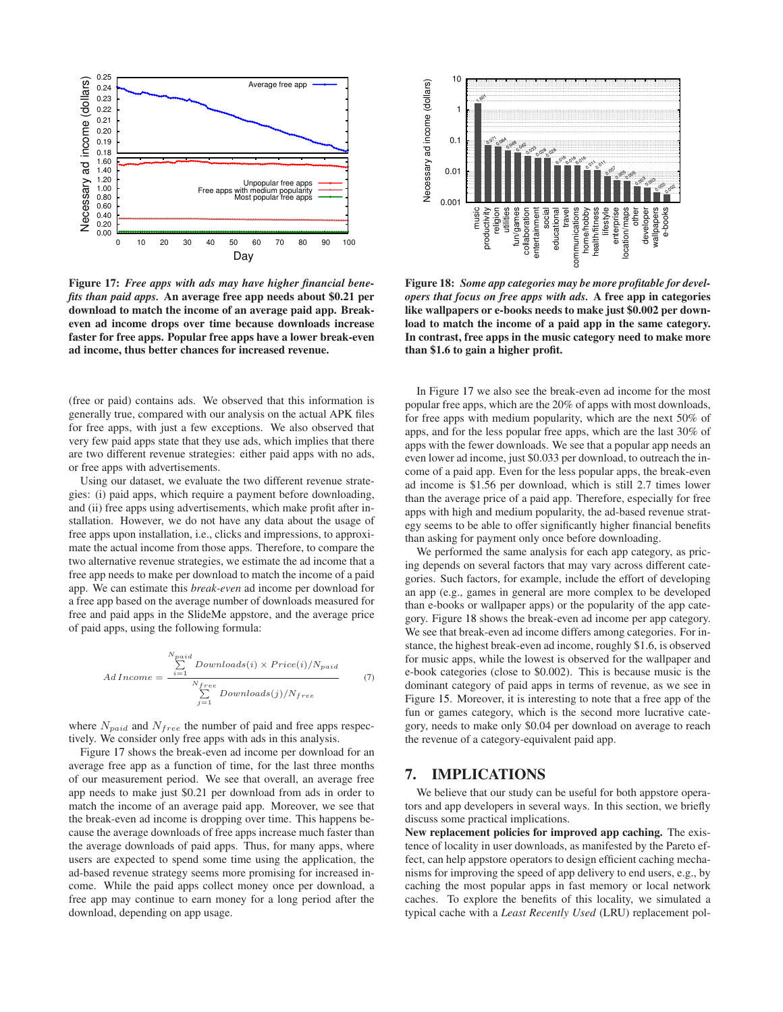

<span id="page-10-0"></span>**Figure 17:** *Free apps with ads may have higher financial benefits than paid apps.* **An average free app needs about \$0.21 per download to match the income of an average paid app. Breakeven ad income drops over time because downloads increase faster for free apps. Popular free apps have a lower break-even ad income, thus better chances for increased revenue.**

(free or paid) contains ads. We observed that this information is generally true, compared with our analysis on the actual APK files for free apps, with just a few exceptions. We also observed that very few paid apps state that they use ads, which implies that there are two different revenue strategies: either paid apps with no ads, or free apps with advertisements.

Using our dataset, we evaluate the two different revenue strategies: (i) paid apps, which require a payment before downloading, and (ii) free apps using advertisements, which make profit after installation. However, we do not have any data about the usage of free apps upon installation, i.e., clicks and impressions, to approximate the actual income from those apps. Therefore, to compare the two alternative revenue strategies, we estimate the ad income that a free app needs to make per download to match the income of a paid app. We can estimate this *break-even* ad income per download for a free app based on the average number of downloads measured for free and paid apps in the SlideMe appstore, and the average price of paid apps, using the following formula:

$$
Ad\,Income=\frac{\sum\limits_{i=1}^{N_{paid}}Downloads(i)\times Price(i)/N_{paid}}{\sum\limits_{j=1}^{N_{free}}Downloads(j)/N_{free}}
$$
(7)

where  $N_{paid}$  and  $N_{free}$  the number of paid and free apps respectively. We consider only free apps with ads in this analysis.

Figure [17](#page-10-0) shows the break-even ad income per download for an average free app as a function of time, for the last three months of our measurement period. We see that overall, an average free app needs to make just \$0.21 per download from ads in order to match the income of an average paid app. Moreover, we see that the break-even ad income is dropping over time. This happens because the average downloads of free apps increase much faster than the average downloads of paid apps. Thus, for many apps, where users are expected to spend some time using the application, the ad-based revenue strategy seems more promising for increased income. While the paid apps collect money once per download, a free app may continue to earn money for a long period after the download, depending on app usage.



<span id="page-10-1"></span>**Figure 18:** *Some app categories may be more profitable for developers that focus on free apps with ads.* **A free app in categories like wallpapers or e-books needs to make just \$0.002 per download to match the income of a paid app in the same category. In contrast, free apps in the music category need to make more than \$1.6 to gain a higher profit.**

In Figure [17](#page-10-0) we also see the break-even ad income for the most popular free apps, which are the 20% of apps with most downloads, for free apps with medium popularity, which are the next 50% of apps, and for the less popular free apps, which are the last 30% of apps with the fewer downloads. We see that a popular app needs an even lower ad income, just \$0.033 per download, to outreach the income of a paid app. Even for the less popular apps, the break-even ad income is \$1.56 per download, which is still 2.7 times lower than the average price of a paid app. Therefore, especially for free apps with high and medium popularity, the ad-based revenue strategy seems to be able to offer significantly higher financial benefits than asking for payment only once before downloading.

We performed the same analysis for each app category, as pricing depends on several factors that may vary across different categories. Such factors, for example, include the effort of developing an app (e.g., games in general are more complex to be developed than e-books or wallpaper apps) or the popularity of the app category. Figure [18](#page-10-1) shows the break-even ad income per app category. We see that break-even ad income differs among categories. For instance, the highest break-even ad income, roughly \$1.6, is observed for music apps, while the lowest is observed for the wallpaper and e-book categories (close to \$0.002). This is because music is the dominant category of paid apps in terms of revenue, as we see in Figure [15.](#page-9-2) Moreover, it is interesting to note that a free app of the fun or games category, which is the second more lucrative category, needs to make only \$0.04 per download on average to reach the revenue of a category-equivalent paid app.

## **7. IMPLICATIONS**

We believe that our study can be useful for both appstore operators and app developers in several ways. In this section, we briefly discuss some practical implications.

**New replacement policies for improved app caching.** The existence of locality in user downloads, as manifested by the Pareto effect, can help appstore operators to design efficient caching mechanisms for improving the speed of app delivery to end users, e.g., by caching the most popular apps in fast memory or local network caches. To explore the benefits of this locality, we simulated a typical cache with a *Least Recently Used* (LRU) replacement pol-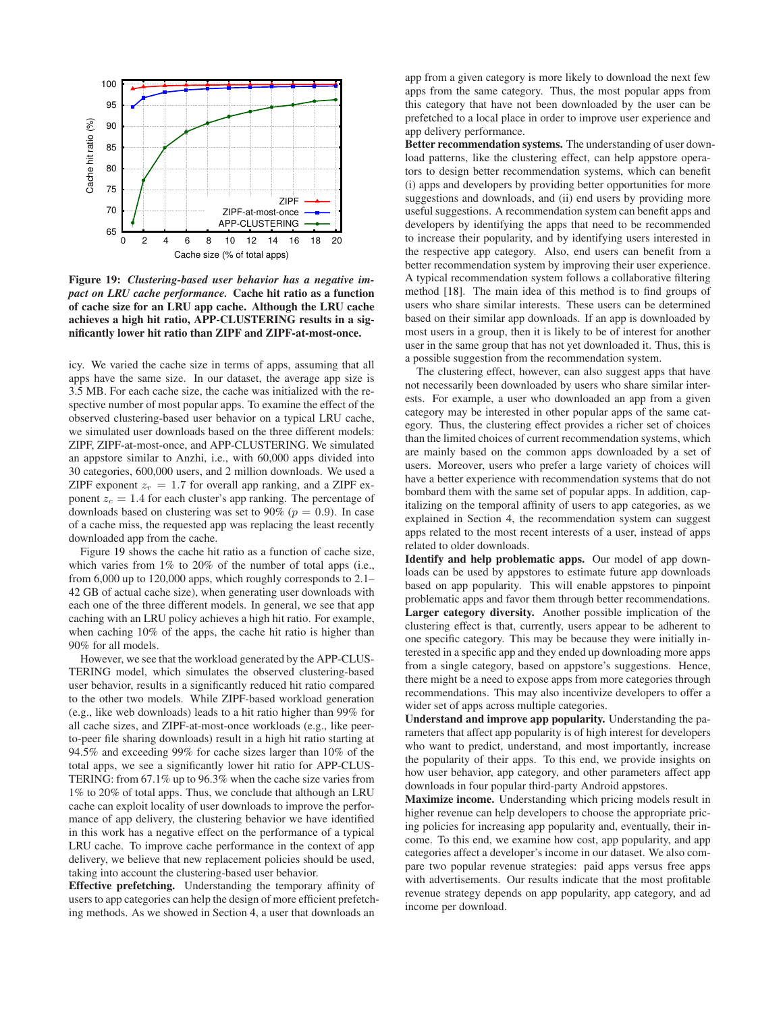

<span id="page-11-0"></span>**Figure 19:** *Clustering-based user behavior has a negative impact on LRU cache performance.* **Cache hit ratio as a function of cache size for an LRU app cache. Although the LRU cache achieves a high hit ratio, APP-CLUSTERING results in a significantly lower hit ratio than ZIPF and ZIPF-at-most-once.**

icy. We varied the cache size in terms of apps, assuming that all apps have the same size. In our dataset, the average app size is 3.5 MB. For each cache size, the cache was initialized with the respective number of most popular apps. To examine the effect of the observed clustering-based user behavior on a typical LRU cache, we simulated user downloads based on the three different models: ZIPF, ZIPF-at-most-once, and APP-CLUSTERING. We simulated an appstore similar to Anzhi, i.e., with 60,000 apps divided into 30 categories, 600,000 users, and 2 million downloads. We used a ZIPF exponent  $z_r = 1.7$  for overall app ranking, and a ZIPF exponent  $z_c = 1.4$  for each cluster's app ranking. The percentage of downloads based on clustering was set to 90% ( $p = 0.9$ ). In case of a cache miss, the requested app was replacing the least recently downloaded app from the cache.

Figure [19](#page-11-0) shows the cache hit ratio as a function of cache size, which varies from 1% to 20% of the number of total apps (i.e., from 6,000 up to 120,000 apps, which roughly corresponds to 2.1– 42 GB of actual cache size), when generating user downloads with each one of the three different models. In general, we see that app caching with an LRU policy achieves a high hit ratio. For example, when caching 10% of the apps, the cache hit ratio is higher than 90% for all models.

However, we see that the workload generated by the APP-CLUS-TERING model, which simulates the observed clustering-based user behavior, results in a significantly reduced hit ratio compared to the other two models. While ZIPF-based workload generation (e.g., like web downloads) leads to a hit ratio higher than 99% for all cache sizes, and ZIPF-at-most-once workloads (e.g., like peerto-peer file sharing downloads) result in a high hit ratio starting at 94.5% and exceeding 99% for cache sizes larger than 10% of the total apps, we see a significantly lower hit ratio for APP-CLUS-TERING: from 67.1% up to 96.3% when the cache size varies from 1% to 20% of total apps. Thus, we conclude that although an LRU cache can exploit locality of user downloads to improve the performance of app delivery, the clustering behavior we have identified in this work has a negative effect on the performance of a typical LRU cache. To improve cache performance in the context of app delivery, we believe that new replacement policies should be used, taking into account the clustering-based user behavior.

**Effective prefetching.** Understanding the temporary affinity of users to app categories can help the design of more efficient prefetching methods. As we showed in Section [4,](#page-3-2) a user that downloads an

app from a given category is more likely to download the next few apps from the same category. Thus, the most popular apps from this category that have not been downloaded by the user can be prefetched to a local place in order to improve user experience and app delivery performance.

**Better recommendation systems.** The understanding of user download patterns, like the clustering effect, can help appstore operators to design better recommendation systems, which can benefit (i) apps and developers by providing better opportunities for more suggestions and downloads, and (ii) end users by providing more useful suggestions. A recommendation system can benefit apps and developers by identifying the apps that need to be recommended to increase their popularity, and by identifying users interested in the respective app category. Also, end users can benefit from a better recommendation system by improving their user experience. A typical recommendation system follows a collaborative filtering method [\[18\]](#page-13-29). The main idea of this method is to find groups of users who share similar interests. These users can be determined based on their similar app downloads. If an app is downloaded by most users in a group, then it is likely to be of interest for another user in the same group that has not yet downloaded it. Thus, this is a possible suggestion from the recommendation system.

The clustering effect, however, can also suggest apps that have not necessarily been downloaded by users who share similar interests. For example, a user who downloaded an app from a given category may be interested in other popular apps of the same category. Thus, the clustering effect provides a richer set of choices than the limited choices of current recommendation systems, which are mainly based on the common apps downloaded by a set of users. Moreover, users who prefer a large variety of choices will have a better experience with recommendation systems that do not bombard them with the same set of popular apps. In addition, capitalizing on the temporal affinity of users to app categories, as we explained in Section [4,](#page-3-2) the recommendation system can suggest apps related to the most recent interests of a user, instead of apps related to older downloads.

**Identify and help problematic apps.** Our model of app downloads can be used by appstores to estimate future app downloads based on app popularity. This will enable appstores to pinpoint problematic apps and favor them through better recommendations. **Larger category diversity.** Another possible implication of the clustering effect is that, currently, users appear to be adherent to one specific category. This may be because they were initially interested in a specific app and they ended up downloading more apps from a single category, based on appstore's suggestions. Hence, there might be a need to expose apps from more categories through recommendations. This may also incentivize developers to offer a wider set of apps across multiple categories.

**Understand and improve app popularity.** Understanding the parameters that affect app popularity is of high interest for developers who want to predict, understand, and most importantly, increase the popularity of their apps. To this end, we provide insights on how user behavior, app category, and other parameters affect app downloads in four popular third-party Android appstores.

**Maximize income.** Understanding which pricing models result in higher revenue can help developers to choose the appropriate pricing policies for increasing app popularity and, eventually, their income. To this end, we examine how cost, app popularity, and app categories affect a developer's income in our dataset. We also compare two popular revenue strategies: paid apps versus free apps with advertisements. Our results indicate that the most profitable revenue strategy depends on app popularity, app category, and ad income per download.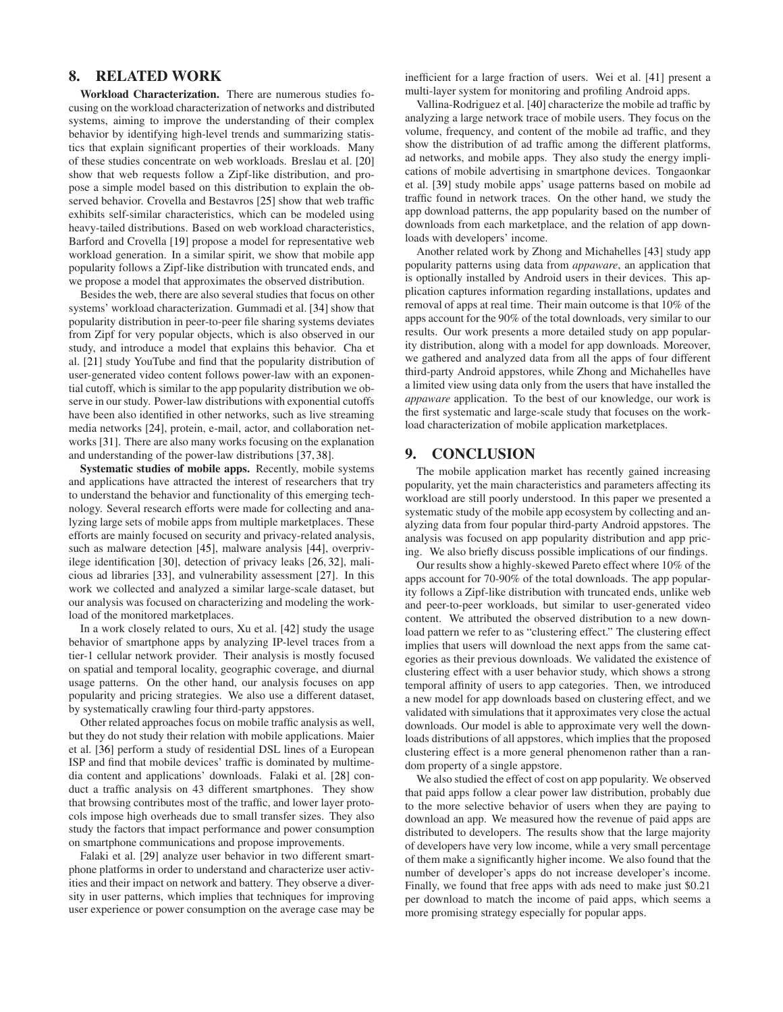# **8. RELATED WORK**

**Workload Characterization.** There are numerous studies focusing on the workload characterization of networks and distributed systems, aiming to improve the understanding of their complex behavior by identifying high-level trends and summarizing statistics that explain significant properties of their workloads. Many of these studies concentrate on web workloads. Breslau et al. [\[20\]](#page-13-24) show that web requests follow a Zipf-like distribution, and propose a simple model based on this distribution to explain the observed behavior. Crovella and Bestavros [\[25\]](#page-13-6) show that web traffic exhibits self-similar characteristics, which can be modeled using heavy-tailed distributions. Based on web workload characteristics, Barford and Crovella [\[19\]](#page-13-30) propose a model for representative web workload generation. In a similar spirit, we show that mobile app popularity follows a Zipf-like distribution with truncated ends, and we propose a model that approximates the observed distribution.

Besides the web, there are also several studies that focus on other systems' workload characterization. Gummadi et al. [\[34\]](#page-13-8) show that popularity distribution in peer-to-peer file sharing systems deviates from Zipf for very popular objects, which is also observed in our study, and introduce a model that explains this behavior. Cha et al. [\[21\]](#page-13-7) study YouTube and find that the popularity distribution of user-generated video content follows power-law with an exponential cutoff, which is similar to the app popularity distribution we observe in our study. Power-law distributions with exponential cutoffs have been also identified in other networks, such as live streaming media networks [\[24\]](#page-13-31), protein, e-mail, actor, and collaboration networks [\[31\]](#page-13-32). There are also many works focusing on the explanation and understanding of the power-law distributions [\[37,](#page-13-26) [38\]](#page-13-33).

**Systematic studies of mobile apps.** Recently, mobile systems and applications have attracted the interest of researchers that try to understand the behavior and functionality of this emerging technology. Several research efforts were made for collecting and analyzing large sets of mobile apps from multiple marketplaces. These efforts are mainly focused on security and privacy-related analysis, such as malware detection [\[45\]](#page-13-5), malware analysis [\[44\]](#page-13-4), overprivilege identification [\[30\]](#page-13-34), detection of privacy leaks [\[26,](#page-13-35) [32\]](#page-13-2), malicious ad libraries [\[33\]](#page-13-3), and vulnerability assessment [\[27\]](#page-13-36). In this work we collected and analyzed a similar large-scale dataset, but our analysis was focused on characterizing and modeling the workload of the monitored marketplaces.

In a work closely related to ours, Xu et al. [\[42\]](#page-13-37) study the usage behavior of smartphone apps by analyzing IP-level traces from a tier-1 cellular network provider. Their analysis is mostly focused on spatial and temporal locality, geographic coverage, and diurnal usage patterns. On the other hand, our analysis focuses on app popularity and pricing strategies. We also use a different dataset, by systematically crawling four third-party appstores.

Other related approaches focus on mobile traffic analysis as well, but they do not study their relation with mobile applications. Maier et al. [\[36\]](#page-13-38) perform a study of residential DSL lines of a European ISP and find that mobile devices' traffic is dominated by multimedia content and applications' downloads. Falaki et al. [\[28\]](#page-13-39) conduct a traffic analysis on 43 different smartphones. They show that browsing contributes most of the traffic, and lower layer protocols impose high overheads due to small transfer sizes. They also study the factors that impact performance and power consumption on smartphone communications and propose improvements.

Falaki et al. [\[29\]](#page-13-40) analyze user behavior in two different smartphone platforms in order to understand and characterize user activities and their impact on network and battery. They observe a diversity in user patterns, which implies that techniques for improving user experience or power consumption on the average case may be inefficient for a large fraction of users. Wei et al. [\[41\]](#page-13-41) present a multi-layer system for monitoring and profiling Android apps.

Vallina-Rodriguez et al. [\[40\]](#page-13-42) characterize the mobile ad traffic by analyzing a large network trace of mobile users. They focus on the volume, frequency, and content of the mobile ad traffic, and they show the distribution of ad traffic among the different platforms, ad networks, and mobile apps. They also study the energy implications of mobile advertising in smartphone devices. Tongaonkar et al. [\[39\]](#page-13-43) study mobile apps' usage patterns based on mobile ad traffic found in network traces. On the other hand, we study the app download patterns, the app popularity based on the number of downloads from each marketplace, and the relation of app downloads with developers' income.

Another related work by Zhong and Michahelles [\[43\]](#page-13-44) study app popularity patterns using data from *appaware*, an application that is optionally installed by Android users in their devices. This application captures information regarding installations, updates and removal of apps at real time. Their main outcome is that 10% of the apps account for the 90% of the total downloads, very similar to our results. Our work presents a more detailed study on app popularity distribution, along with a model for app downloads. Moreover, we gathered and analyzed data from all the apps of four different third-party Android appstores, while Zhong and Michahelles have a limited view using data only from the users that have installed the *appaware* application. To the best of our knowledge, our work is the first systematic and large-scale study that focuses on the workload characterization of mobile application marketplaces.

#### **9. CONCLUSION**

The mobile application market has recently gained increasing popularity, yet the main characteristics and parameters affecting its workload are still poorly understood. In this paper we presented a systematic study of the mobile app ecosystem by collecting and analyzing data from four popular third-party Android appstores. The analysis was focused on app popularity distribution and app pricing. We also briefly discuss possible implications of our findings.

Our results show a highly-skewed Pareto effect where 10% of the apps account for 70-90% of the total downloads. The app popularity follows a Zipf-like distribution with truncated ends, unlike web and peer-to-peer workloads, but similar to user-generated video content. We attributed the observed distribution to a new download pattern we refer to as "clustering effect." The clustering effect implies that users will download the next apps from the same categories as their previous downloads. We validated the existence of clustering effect with a user behavior study, which shows a strong temporal affinity of users to app categories. Then, we introduced a new model for app downloads based on clustering effect, and we validated with simulations that it approximates very close the actual downloads. Our model is able to approximate very well the downloads distributions of all appstores, which implies that the proposed clustering effect is a more general phenomenon rather than a random property of a single appstore.

We also studied the effect of cost on app popularity. We observed that paid apps follow a clear power law distribution, probably due to the more selective behavior of users when they are paying to download an app. We measured how the revenue of paid apps are distributed to developers. The results show that the large majority of developers have very low income, while a very small percentage of them make a significantly higher income. We also found that the number of developer's apps do not increase developer's income. Finally, we found that free apps with ads need to make just \$0.21 per download to match the income of paid apps, which seems a more promising strategy especially for popular apps.